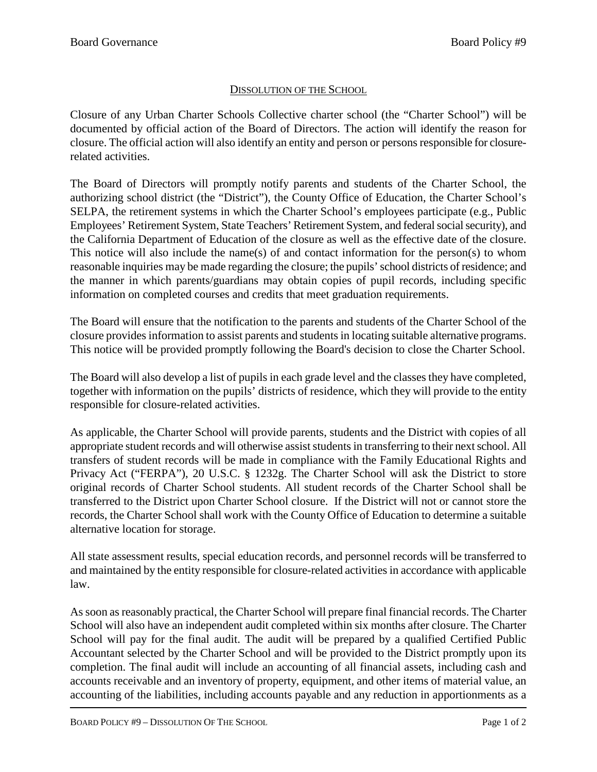## DISSOLUTION OF THE SCHOOL

Closure of any Urban Charter Schools Collective charter school (the "Charter School") will be documented by official action of the Board of Directors. The action will identify the reason for closure. The official action will also identify an entity and person or persons responsible for closurerelated activities.

The Board of Directors will promptly notify parents and students of the Charter School, the authorizing school district (the "District"), the County Office of Education, the Charter School's SELPA, the retirement systems in which the Charter School's employees participate (e.g., Public Employees' Retirement System, State Teachers' Retirement System, and federal social security), and the California Department of Education of the closure as well as the effective date of the closure. This notice will also include the name(s) of and contact information for the person(s) to whom reasonable inquiries may be made regarding the closure; the pupils' school districts of residence; and the manner in which parents/guardians may obtain copies of pupil records, including specific information on completed courses and credits that meet graduation requirements.

The Board will ensure that the notification to the parents and students of the Charter School of the closure provides information to assist parents and students in locating suitable alternative programs. This notice will be provided promptly following the Board's decision to close the Charter School.

The Board will also develop a list of pupils in each grade level and the classes they have completed, together with information on the pupils' districts of residence, which they will provide to the entity responsible for closure-related activities.

As applicable, the Charter School will provide parents, students and the District with copies of all appropriate student records and will otherwise assist students in transferring to their next school. All transfers of student records will be made in compliance with the Family Educational Rights and Privacy Act ("FERPA"), 20 U.S.C. § 1232g. The Charter School will ask the District to store original records of Charter School students. All student records of the Charter School shall be transferred to the District upon Charter School closure. If the District will not or cannot store the records, the Charter School shall work with the County Office of Education to determine a suitable alternative location for storage.

All state assessment results, special education records, and personnel records will be transferred to and maintained by the entity responsible for closure-related activities in accordance with applicable law.

As soon as reasonably practical, the Charter School will prepare final financial records. The Charter School will also have an independent audit completed within six months after closure. The Charter School will pay for the final audit. The audit will be prepared by a qualified Certified Public Accountant selected by the Charter School and will be provided to the District promptly upon its completion. The final audit will include an accounting of all financial assets, including cash and accounts receivable and an inventory of property, equipment, and other items of material value, an accounting of the liabilities, including accounts payable and any reduction in apportionments as a